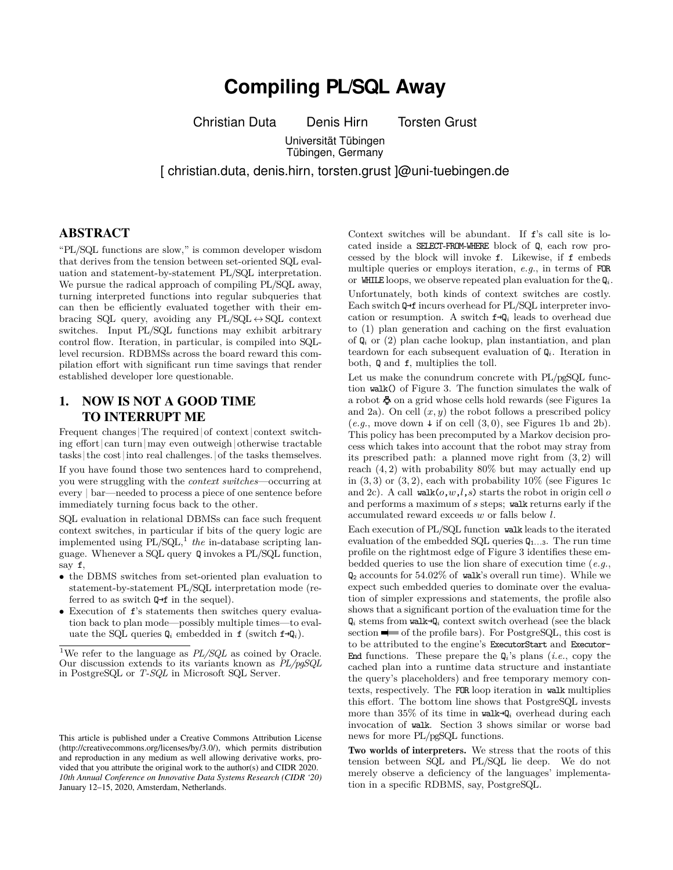# **Compiling PL/SQL Away**

Christian Duta Denis Hirn Torsten Grust

Universität Tübingen Tübingen, Germany

[ christian.duta, denis.hirn, torsten.grust ]@uni-tuebingen.de

## ABSTRACT

"PL/SQL functions are slow," is common developer wisdom that derives from the tension between set-oriented SQL evaluation and statement-by-statement PL/SQL interpretation. We pursue the radical approach of compiling PL/SQL away, turning interpreted functions into regular subqueries that can then be efficiently evaluated together with their embracing SQL query, avoiding any  $PL/SQL \leftrightarrow SQL$  context switches. Input PL/SQL functions may exhibit arbitrary control flow. Iteration, in particular, is compiled into SQLlevel recursion. RDBMSs across the board reward this compilation effort with significant run time savings that render established developer lore questionable.

## 1. NOW IS NOT A GOOD TIME TO INTERRUPT ME

Frequent changes The required of context context switching effort  $|can$  turn  $|\text{may even outweight}|$  otherwise tractable tasks |the cost|into real challenges.|of the tasks themselves.

If you have found those two sentences hard to comprehend, you were struggling with the *context switches*—occurring at every | bar—needed to process a piece of one sentence before immediately turning focus back to the other.

SQL evaluation in relational DBMSs can face such frequent context switches, in particular if bits of the query logic are implemented using  $PL/SQL, 1$  the in-database scripting language. Whenever a SQL query Q invokes a PL/SQL function, say f,

- the DBMS switches from set-oriented plan evaluation to statement-by-statement PL/SQL interpretation mode (referred to as switch  $Q \rightarrow f$  in the sequel).
- Execution of f's statements then switches query evaluation back to plan mode—possibly multiple times—to evaluate the SQL queries  $\mathbf{Q}_i$  embedded in **f** (switch  $\mathbf{f} \rightarrow \mathbf{Q}_i$ ).

Context switches will be abundant. If f's call site is located inside a SELECT-FROM-WHERE block of Q, each row processed by the block will invoke f. Likewise, if f embeds multiple queries or employs iteration, *e.g.*, in terms of FOR or WHILE loops, we observe repeated plan evaluation for the  $Q_i$ . Unfortunately, both kinds of context switches are costly. Each switch Q→f incurs overhead for PL/SQL interpreter invocation or resumption. A switch f→Q*<sup>i</sup>* leads to overhead due to (1) plan generation and caching on the first evaluation of Q*<sup>i</sup>* or (2) plan cache lookup, plan instantiation, and plan teardown for each subsequent evaluation of Q*i*. Iteration in both, Q and f, multiplies the toll.

Let us make the conundrum concrete with PL/pgSQL function walk() of Figure 3. The function simulates the walk of a robot  $\Phi$  on a grid whose cells hold rewards (see Figures 1a and 2a). On cell  $(x, y)$  the robot follows a prescribed policy  $(e.g., move down + if on cell (3,0), see Figures 1b and 2b).$ This policy has been precomputed by a Markov decision process which takes into account that the robot may stray from its prescribed path: a planned move right from (3*,* 2) will reach (4*,* 2) with probability 80% but may actually end up in  $(3,3)$  or  $(3,2)$ , each with probability  $10\%$  (see Figures 1c and 2c). A call walk(*o*,*w*,*l*,*s*) starts the robot in origin cell *o* and performs a maximum of *s* steps; walk returns early if the accumulated reward exceeds *w* or falls below *l*.

Each execution of PL/SQL function walk leads to the iterated evaluation of the embedded SQL queries  $Q_{1...3}$ . The run time profile on the rightmost edge of Figure 3 identifies these embedded queries to use the lion share of execution time (*e.g.*, Q<sup>2</sup> accounts for 54*.*02% of walk's overall run time). While we expect such embedded queries to dominate over the evaluation of simpler expressions and statements, the profile also shows that a significant portion of the evaluation time for the  $\mathbf{Q}_i$  stems from walk→ $\mathbf{Q}_i$  context switch overhead (see the black section  $\blacksquare$  of the profile bars). For PostgreSQL, this cost is to be attributed to the engine's ExecutorStart and Executor-End functions. These prepare the Q*i*'s plans (*i.e.*, copy the cached plan into a runtime data structure and instantiate the query's placeholders) and free temporary memory contexts, respectively. The FOR loop iteration in walk multiplies this effort. The bottom line shows that PostgreSQL invests more than 35% of its time in walk→Q*<sup>i</sup>* overhead during each invocation of walk. Section 3 shows similar or worse bad news for more PL/pgSQL functions.

Two worlds of interpreters. We stress that the roots of this tension between SQL and PL/SQL lie deep. We do not merely observe a deficiency of the languages' implementation in a specific RDBMS, say, PostgreSQL.

<sup>&</sup>lt;sup>1</sup>We refer to the language as *PL/SQL* as coined by Oracle. Our discussion extends to its variants known as *PL/pgSQL* in PostgreSQL or *T-SQL* in Microsoft SQL Server.

This article is published under a Creative Commons Attribution License (http://creativecommons.org/licenses/by/3.0/), which permits distribution and reproduction in any medium as well allowing derivative works, provided that you attribute the original work to the author(s) and CIDR 2020. *10th Annual Conference on Innovative Data Systems Research (CIDR '20)* January 12–15, 2020, Amsterdam, Netherlands.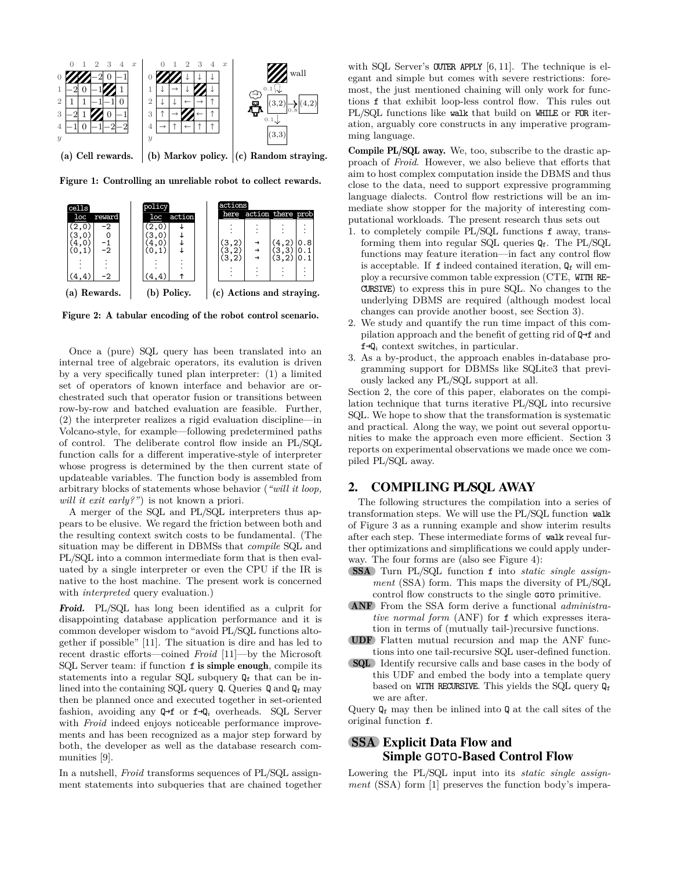

Figure 1: Controlling an unreliable robot to collect rewards.



Figure 2: A tabular encoding of the robot control scenario.

Once a (pure) SQL query has been translated into an internal tree of algebraic operators, its evalution is driven by a very specifically tuned plan interpreter: (1) a limited set of operators of known interface and behavior are orchestrated such that operator fusion or transitions between row-by-row and batched evaluation are feasible. Further, (2) the interpreter realizes a rigid evaluation discipline—in Volcano-style, for example—following predetermined paths of control. The deliberate control flow inside an PL/SQL function calls for a different imperative-style of interpreter whose progress is determined by the then current state of updateable variables. The function body is assembled from arbitrary blocks of statements whose behavior (*"will it loop, will it exit early?"*) is not known a priori.

A merger of the SQL and PL/SQL interpreters thus appears to be elusive. We regard the friction between both and the resulting context switch costs to be fundamental. (The situation may be different in DBMSs that *compile* SQL and PL/SQL into a common intermediate form that is then evaluated by a single interpreter or even the CPU if the IR is native to the host machine. The present work is concerned with *interpreted* query evaluation.)

Froid. PL/SQL has long been identified as a culprit for disappointing database application performance and it is common developer wisdom to "avoid PL/SQL functions altogether if possible" [11]. The situation is dire and has led to recent drastic efforts—coined *Froid* [11]—by the Microsoft SQL Server team: if function f is simple enough, compile its statements into a regular SQL subquery  $Q_f$  that can be inlined into the containing SQL query  $Q$ . Queries  $Q$  and  $Q_f$  may then be planned once and executed together in set-oriented fashion, avoiding any Q→f or f→Q*<sup>i</sup>* overheads. SQL Server with *Froid* indeed enjoys noticeable performance improvements and has been recognized as a major step forward by both, the developer as well as the database research communities [9].

In a nutshell, *Froid* transforms sequences of PL/SQL assignment statements into subqueries that are chained together

with SQL Server's **OUTER APPLY**  $[6, 11]$ . The technique is elegant and simple but comes with severe restrictions: foremost, the just mentioned chaining will only work for functions f that exhibit loop-less control flow. This rules out PL/SQL functions like walk that build on WHILE or FOR iteration, arguably core constructs in any imperative programming language.

Compile PL/SQL away. We, too, subscribe to the drastic approach of *Froid*. However, we also believe that efforts that aim to host complex computation inside the DBMS and thus close to the data, need to support expressive programming language dialects. Control flow restrictions will be an immediate show stopper for the majority of interesting computational workloads. The present research thus sets out

- 1. to completely compile PL/SQL functions f away, transforming them into regular SQL queries  $Q_f$ . The PL/SQL functions may feature iteration—in fact any control flow is acceptable. If  $f$  indeed contained iteration,  $Q_f$  will employ a recursive common table expression (CTE, WITH RE-CURSIVE) to express this in pure SQL. No changes to the underlying DBMS are required (although modest local changes can provide another boost, see Section 3).
- 2. We study and quantify the run time impact of this compilation approach and the benefit of getting rid of Q→f and f→Q*<sup>i</sup>* context switches, in particular.
- 3. As a by-product, the approach enables in-database programming support for DBMSs like SQLite3 that previously lacked any PL/SQL support at all.

Section 2, the core of this paper, elaborates on the compilation technique that turns iterative PL/SQL into recursive SQL. We hope to show that the transformation is systematic and practical. Along the way, we point out several opportunities to make the approach even more efficient. Section 3 reports on experimental observations we made once we compiled PL/SQL away.

## 2. COMPILING PL/SQL AWAY

The following structures the compilation into a series of transformation steps. We will use the PL/SQL function walk of Figure 3 as a running example and show interim results after each step. These intermediate forms of walk reveal further optimizations and simplifications we could apply underway. The four forms are (also see Figure 4):

- SSA Turn PL/SQL function f into *static single assignment* (SSA) form. This maps the diversity of PL/SQL control flow constructs to the single **GOTO** primitive.
- ANF From the SSA form derive a functional *administrative normal form* (ANF) for f which expresses iteration in terms of (mutually tail-)recursive functions.
- UDF Flatten mutual recursion and map the ANF functions into one tail-recursive SQL user-defined function.
- SQL Identify recursive calls and base cases in the body of this UDF and embed the body into a template query based on WITH RECURSIVE. This yields the SQL query  $Q_f$ we are after.

Query  $\mathbb{Q}_f$  may then be inlined into  $\mathbb{Q}$  at the call sites of the original function f.

## SSA Explicit Data Flow and Simple GOTO-Based Control Flow

Lowering the PL/SQL input into its *static single assignment* (SSA) form [1] preserves the function body's impera-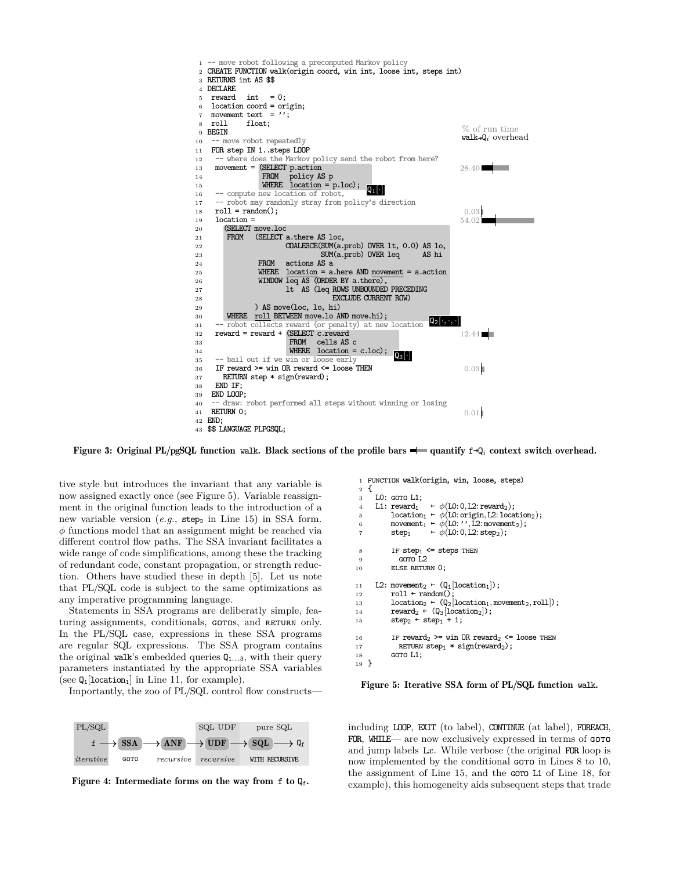

Figure 3: Original PL/pgSQL function walk. Black sections of the profile bars quantify f→Q*<sup>i</sup>* context switch overhead.

tive style but introduces the invariant that any variable is now assigned exactly once (see Figure 5). Variable reassignment in the original function leads to the introduction of a new variable version  $(e.g., step_2 \text{ in Line 15})$  in SSA form. *φ* functions model that an assignment might be reached via different control flow paths. The SSA invariant facilitates a wide range of code simplifications, among these the tracking of redundant code, constant propagation, or strength reduction. Others have studied these in depth [5]. Let us note that PL/SQL code is subject to the same optimizations as any imperative programming language.

Statements in SSA programs are deliberatly simple, featuring assignments, conditionals, GOTOS, and RETURN only. In the PL/SQL case, expressions in these SSA programs are regular SQL expressions. The SSA program contains the original walk's embedded queries  $Q_{1...3}$ , with their query parameters instantiated by the appropriate SSA variables (see  $Q_1$ [location<sub>1</sub>] in Line 11, for example).

Importantly, the zoo of PL/SQL control flow constructs—



Figure 4: Intermediate forms on the way from f to  $Q_f$ .

```
1 FUNCTION walk(origin, win, loose, steps)
  2 {
 3 LO: GOTO L1;<br>4 L1: reward_1\leftarrow \phi(\text{LO}: 0, \text{L2: reward}_2);5 location<sub>1</sub> ← \phi(L0: origin, L2: location<sub>2</sub>);<br>6 movement<sub>1</sub> ← \phi(L0: '', L2: movement<sub>2</sub>):
  6 movement<sub>1</sub> ← \phi(L0: '', L2: movement<sub>2</sub>);<br>
5 step<sub>1</sub> ← \phi(L0: 0, L2: step<sub>2</sub>);
                                        \leftarrow \phi(L0: 0, L2: step<sub>2</sub>);
  8 IF step_1 \leq steps THEN<br>9 GOTO L29 GOTO L2<br>10 ELSE RETUR
                   ELSE RETURN 0;
11 L2: movement<sub>2</sub> ← (Q_1[location_1]);<br>
12 roll ← random();
12 roll ← random();<br>13 location<sub>2</sub> ← (Q<sub>2</sub>)
13 \text{location}_2 \leftarrow (Q_2[\text{location}_1, \text{move} + \text{normal}_2, \text{roll}]);<br>14 \text{reward}_2 \leftarrow (Q_3[\text{location}_2]);14 reward<sub>2</sub> ← (Q_3[location_2]);<br>15 step<sub>2</sub> ← step<sub>1</sub> + 1;
                   step_2 ← step_1 + 1;
16 IF reward<sub>2</sub> >= win OR reward<sub>2</sub> \le loose THEN<br>17 RETURN step<sub>1</sub> * sign(reward<sub>2</sub>);
17 RETURN step<sub>1</sub> * sign(reward<sub>2</sub>);<br>18 GOTO L1;
                   GOTO L1;
19 }
```
#### Figure 5: Iterative SSA form of PL/SQL function walk.

including LOOP, EXIT (to label), CONTINUE (at label), FOREACH, FOR, WHILE— are now exclusively expressed in terms of GOTO and jump labels L*x*. While verbose (the original FOR loop is now implemented by the conditional  $\cos$  in Lines 8 to 10, the assignment of Line 15, and the **GOTO L1** of Line 18, for example), this homogeneity aids subsequent steps that trade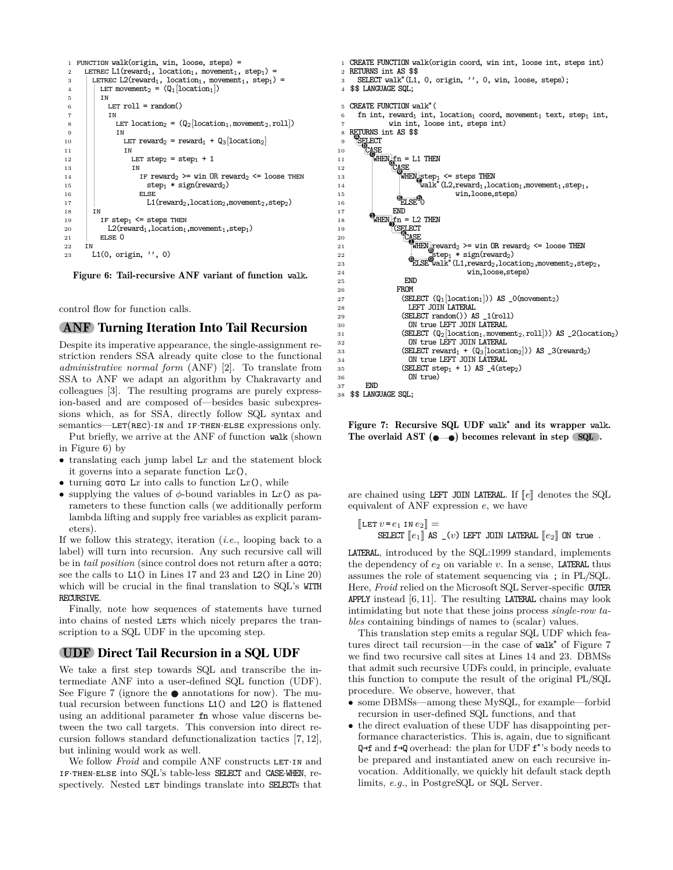```
1 FUNCTION walk(origin, win, loose, steps) =
 2 LETREC L1(reward<sub>1</sub>, location<sub>1</sub>, movement<sub>1</sub>, step<sub>1</sub>) = <br>
\angleLETREC L2(reward<sub>1</sub>, location<sub>1</sub>, movement<sub>1</sub>, step<sub>1</sub>)
 3 LETREC L2(reward<sub>1</sub>, location<sub>1</sub>, movement<sub>1</sub>, step<sub>1</sub>) =<br>
LET movement<sub>2</sub> = (0_1[location<sub>1</sub>])
 4 LET movement<sub>2</sub> = (Q_1[\text{location}_1])<br>5 IN
                5 in
 6 \quad | LET roll = random()
 7 | | IN
 8 let location<sub>2</sub> = (Q_2[location_1, movement_2, roll])<br>
\qquad \qquad \text{IN}IN
10 LET reward<sub>2</sub> = reward<sub>1</sub> + Q_3[location<sub>2</sub>]<br>11 IN
11 in
12 LET step<sub>2</sub> = step<sub>1</sub> + 1<br>
\frac{13}{13}\begin{array}{c|c}\n\hline\n13 & 1\n\end{array}14 IF reward_2 \geq = win \ OR \ reward_2 \leq 100 THEN<br>15 step_1 * sign(reward_2)15 step<sub>1</sub> * sign(reward<sub>2</sub>)<br>
ELSE
                                 ELSE
17 L1(reward<sub>2</sub>, location<sub>2</sub>, movement<sub>2</sub>, step<sub>2</sub>)<br>
18 IN
             IN19 IF step<sub>1</sub> \leq steps THEN<br>20 L2(reward<sub>1</sub>, location<sub>1</sub>
20 L2(reward<sub>1</sub>, location<sub>1</sub>, movement<sub>1</sub>, step<sub>1</sub>)<br>21 ELSE 0
                ELSE 0
22 in
23 L1(0, origin, '', 0)
```
Figure 6: Tail-recursive ANF variant of function walk.

control flow for function calls.

#### ANF Turning Iteration Into Tail Recursion

Despite its imperative appearance, the single-assignment restriction renders SSA already quite close to the functional *administrative normal form* (ANF) [2]. To translate from SSA to ANF we adapt an algorithm by Chakravarty and colleagues [3]. The resulting programs are purely expression-based and are composed of—besides basic subexpressions which, as for SSA, directly follow SQL syntax and semantics—LET(REC)·IN and IF·THEN·ELSE expressions only.

Put briefly, we arrive at the ANF of function walk (shown in Figure 6) by

- translating each jump label L*x* and the statement block it governs into a separate function L*x*(),
- turning  $\texttt{coro } Lx$  into calls to function  $Lx()$ , while
- supplying the values of  $\phi$ -bound variables in Lx() as parameters to these function calls (we additionally perform lambda lifting and supply free variables as explicit parameters).

If we follow this strategy, iteration (*i.e.*, looping back to a label) will turn into recursion. Any such recursive call will be in *tail position* (since control does not return after a GOTO; see the calls to L1() in Lines 17 and 23 and L2() in Line 20) which will be crucial in the final translation to SQL's WITH RECURSIVE.

Finally, note how sequences of statements have turned into chains of nested LETS which nicely prepares the transcription to a SQL UDF in the upcoming step.

### UDF Direct Tail Recursion in a SQL UDF

We take a first step towards SQL and transcribe the intermediate ANF into a user-defined SQL function (UDF). See Figure 7 (ignore the  $\bullet$  annotations for now). The mutual recursion between functions L1() and L2() is flattened using an additional parameter fn whose value discerns between the two call targets. This conversion into direct recursion follows standard defunctionalization tactics [7, 12], but inlining would work as well.

We follow *Froid* and compile ANF constructs LET IN and if·then·else into SQL's table-less SELECT and CASE·WHEN, respectively. Nested LET bindings translate into SELECTs that



 $$$  \$\$ LANGUAGE SQL;

Figure 7: Recursive SQL UDF walk**\*** and its wrapper walk. The overlaid AST  $(\bullet \rightarrow \bullet)$  becomes relevant in step SQL.

are chained using LEFT JOIN LATERAL. If  $\llbracket e \rrbracket$  denotes the SQL equivalent of ANF expression *e*, we have

 $\llbracket$ LET  $v = e_1$  in  $e_2 \rrbracket =$ SELECT  $\llbracket e_1 \rrbracket$  AS  $\llbracket (v)$  LEFT JOIN LATERAL  $\llbracket e_2 \rrbracket$  ON true.

LATERAL, introduced by the SQL:1999 standard, implements the dependency of  $e_2$  on variable  $v$ . In a sense, **LATERAL** thus assumes the role of statement sequencing via ; in PL/SQL. Here, *Froid* relied on the Microsoft SQL Server-specific OUTER APPLY instead  $[6, 11]$ . The resulting LATERAL chains may look intimidating but note that these joins process *single-row tables* containing bindings of names to (scalar) values.

This translation step emits a regular SQL UDF which features direct tail recursion—in the case of walk<sup>\*</sup> of Figure 7 we find two recursive call sites at Lines 14 and 23. DBMSs that admit such recursive UDFs could, in principle, evaluate this function to compute the result of the original PL/SQL procedure. We observe, however, that

- some DBMSs—among these MySQL, for example—forbid recursion in user-defined SQL functions, and that
- the direct evaluation of these UDF has disappointing performance characteristics. This is, again, due to significant Q<sup>→f</sup> and f<sup>→Q</sup> overhead: the plan for UDF f<sup>\*</sup>'s body needs to be prepared and instantiated anew on each recursive invocation. Additionally, we quickly hit default stack depth limits, *e.g.*, in PostgreSQL or SQL Server.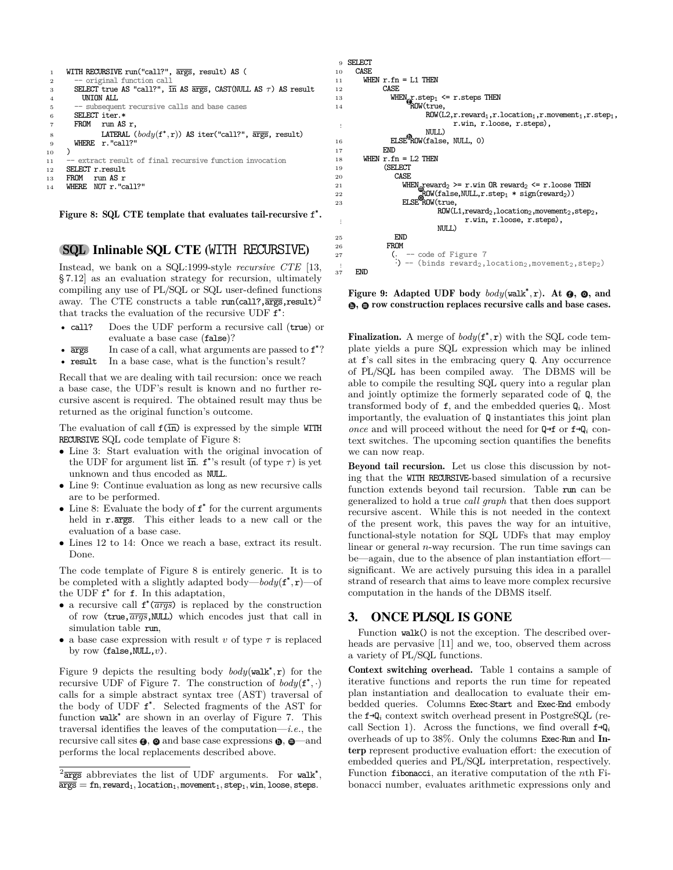```
1 WITH RECURSIVE run("call?", args, result) AS (
           original function call
 3 SELECT true AS "call?", in AS args, CAST(NULL AS τ) AS result
          4 UNION ALL
 5 -- subsequent recursive calls and base cases<br>6 SELECT iter.*
 6 SELECT iter.*
        7 FROM run AS r,
 8 LATERAL (body(f^*, r)) AS iter("call?", \overline{args}, result)
9 WHERE r."call?"
\begin{matrix} 10 & 1 \ 11 & -1 \end{matrix}extract result of final recursive function invocation
12 SELECT r.result<br>13 FROM run AS r
             13 FROM run AS r
```
<sup>14</sup> **WHERE** NOT r."call?"

Figure 8: SQL CTE template that evaluates tail-recursive f **\*** .

### SQL Inlinable SQL CTE (WITH RECURSIVE)

Instead, we bank on a SQL:1999-style *recursive CTE* [13, § 7.12] as an evaluation strategy for recursion, ultimately compiling any use of PL/SQL or SQL user-defined functions away. The CTE constructs a table  $\text{run}(\text{call?}, \overline{\text{args}}, \text{result})^2$ that tracks the evaluation of the recursive UDF  $f^*$ :

- call? Does the UDF perform a recursive call (true) or evaluate a base case (false)?
- $\overline{args}$  In case of a call, what arguments are passed to  $f^*$ ?
- result In a base case, what is the function's result?

Recall that we are dealing with tail recursion: once we reach a base case, the UDF's result is known and no further recursive ascent is required. The obtained result may thus be returned as the original function's outcome.

The evaluation of call  $f(\overline{in})$  is expressed by the simple WITH RECURSIVE SQL code template of Figure 8:

- Line 3: Start evaluation with the original invocation of the UDF for argument list  $\overline{\text{in}}$ .  $f^*$ 's result (of type  $\tau$ ) is yet unknown and thus encoded as NULL.
- Line 9: Continue evaluation as long as new recursive calls are to be performed.
- Line 8: Evaluate the body of f \* for the current arguments held in  $r.\overline{args}$ . This either leads to a new call or the evaluation of a base case.
- Lines 12 to 14: Once we reach a base, extract its result. Done.

The code template of Figure 8 is entirely generic. It is to be completed with a slightly adapted body—*body*( $f^*$ , $r$ )—of the UDF  $f^*$  for  $f$ . In this adaptation,

- a recursive call f \* (*args*) is replaced by the construction of row ( $true$ , $\overline{args}$ , NULL) which encodes just that call in simulation table run,
- a base case expression with result  $v$  of type  $\tau$  is replaced by row (false,NULL,*v*).

Figure 9 depicts the resulting body  $body(walk^*, r)$  for the recursive UDF of Figure 7. The construction of  $body(f^*, \cdot)$ calls for a simple abstract syntax tree (AST) traversal of the body of UDF f \* . Selected fragments of the AST for function walk<sup>\*</sup> are shown in an overlay of Figure 7. This traversal identifies the leaves of the computation—*i.e.*, the recursive call sites  $\boldsymbol{\Theta}$ ,  $\boldsymbol{\Theta}$  and base case expressions  $\boldsymbol{\Theta}$ ,  $\boldsymbol{\Theta}$  —and performs the local replacements described above.



Figure 9: Adapted UDF body  $body(walk^*, r)$ . At  $\Theta$ ,  $\Theta$ , and  $\bullet$ ,  $\bullet$  row construction replaces recursive calls and base cases.

Finalization. A merge of  $body(f^*, r)$  with the SQL code template yields a pure SQL expression which may be inlined at f's call sites in the embracing query Q. Any occurrence of PL/SQL has been compiled away. The DBMS will be able to compile the resulting SQL query into a regular plan and jointly optimize the formerly separated code of Q, the transformed body of  $f$ , and the embedded queries  $Q_i$ . Most importantly, the evaluation of Q instantiates this joint plan *once* and will proceed without the need for  $Q \rightarrow f$  or  $f \rightarrow Q_i$  context switches. The upcoming section quantifies the benefits we can now reap.

Beyond tail recursion. Let us close this discussion by noting that the WITH RECURSIVE-based simulation of a recursive function extends beyond tail recursion. Table run can be generalized to hold a true *call graph* that then does support recursive ascent. While this is not needed in the context of the present work, this paves the way for an intuitive, functional-style notation for SQL UDFs that may employ linear or general *n*-way recursion. The run time savings can be—again, due to the absence of plan instantiation effort significant. We are actively pursuing this idea in a parallel strand of research that aims to leave more complex recursive computation in the hands of the DBMS itself.

## 3. ONCE PL/SQL IS GONE

Function walk() is not the exception. The described overheads are pervasive [11] and we, too, observed them across a variety of PL/SQL functions.

Context switching overhead. Table 1 contains a sample of iterative functions and reports the run time for repeated plan instantiation and deallocation to evaluate their embedded queries. Columns Exec·Start and Exec·End embody the f→Q*<sup>i</sup>* context switch overhead present in PostgreSQL (recall Section 1). Across the functions, we find overall  $f \rightarrow Q_i$ overheads of up to 38%. Only the columns Exec·Run and Interp represent productive evaluation effort: the execution of embedded queries and PL/SQL interpretation, respectively. Function fibonacci, an iterative computation of the *n*th Fibonacci number, evaluates arithmetic expressions only and

 $2\overline{\text{args}}$  abbreviates the list of UDF arguments. For walk\*,  $\overline{\text{args}} = \text{fn}, \text{reward}_1, \text{location}_1, \text{movement}_1, \text{step}_1, \text{win}, \text{loose}, \text{steps}.$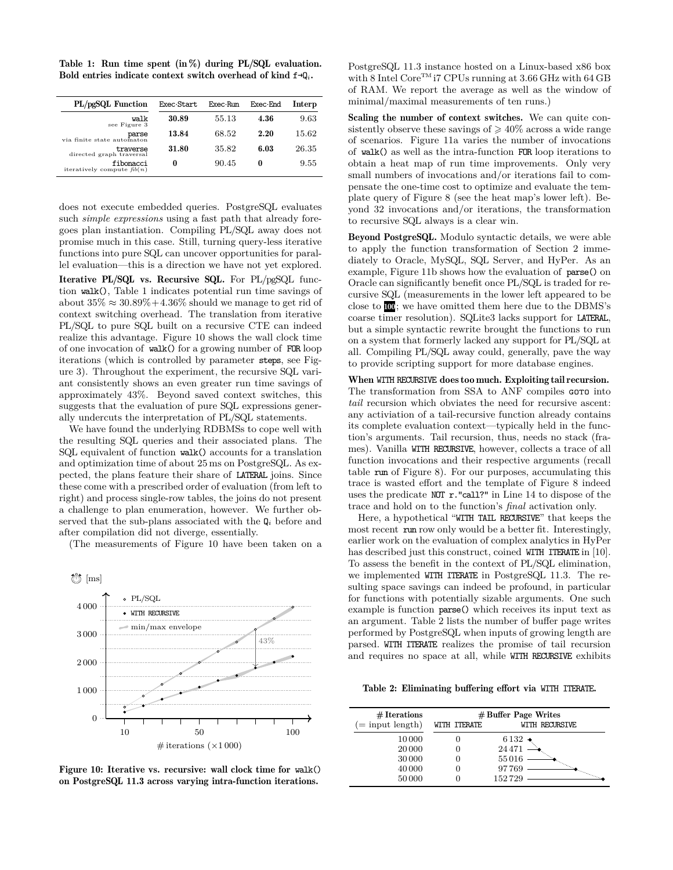Table 1: Run time spent  $(in %)$  during PL/SQL evaluation. Bold entries indicate context switch overhead of kind f→Q*i*.

| PL/pgSQL Function                         | Exec Start | Exec Run | Exec End | Interp |
|-------------------------------------------|------------|----------|----------|--------|
| walk<br>see Figure 3                      | 30.89      | 55.13    | 4.36     | 9.63   |
| parse<br>via finite state automaton       | 13.84      | 68.52    | 2.20     | 15.62  |
| traverse<br>directed graph traversal      | 31.80      | 35.82    | 6.03     | 26.35  |
| fibonacci<br>iteratively compute $fib(n)$ | 0          | 90.45    | 0        | 9.55   |

does not execute embedded queries. PostgreSQL evaluates such *simple expressions* using a fast path that already foregoes plan instantiation. Compiling PL/SQL away does not promise much in this case. Still, turning query-less iterative functions into pure SQL can uncover opportunities for parallel evaluation—this is a direction we have not yet explored.

Iterative PL/SQL vs. Recursive SQL. For PL/pgSQL function walk(), Table 1 indicates potential run time savings of about  $35\% \approx 30.89\% + 4.36\%$  should we manage to get rid of context switching overhead. The translation from iterative PL/SQL to pure SQL built on a recursive CTE can indeed realize this advantage. Figure 10 shows the wall clock time of one invocation of walk() for a growing number of FOR loop iterations (which is controlled by parameter steps, see Figure 3). Throughout the experiment, the recursive SQL variant consistently shows an even greater run time savings of approximately 43%. Beyond saved context switches, this suggests that the evaluation of pure SQL expressions generally undercuts the interpretation of PL/SQL statements.

We have found the underlying RDBMSs to cope well with the resulting SQL queries and their associated plans. The SQL equivalent of function walk() accounts for a translation and optimization time of about 25 ms on PostgreSQL. As expected, the plans feature their share of LATERAL joins. Since these come with a prescribed order of evaluation (from left to right) and process single-row tables, the joins do not present a challenge to plan enumeration, however. We further observed that the sub-plans associated with the Q*<sup>i</sup>* before and after compilation did not diverge, essentially.

(The measurements of Figure 10 have been taken on a



Figure 10: Iterative vs. recursive: wall clock time for walk() on PostgreSQL 11.3 across varying intra-function iterations.

PostgreSQL 11.3 instance hosted on a Linux-based x86 box with 8 Intel Core<sup>TM</sup> i7 CPUs running at 3.66 GHz with 64 GB of RAM. We report the average as well as the window of minimal/maximal measurements of ten runs.)

Scaling the number of context switches. We can quite consistently observe these savings of  $\geq 40\%$  across a wide range of scenarios. Figure 11a varies the number of invocations of walk() as well as the intra-function FOR loop iterations to obtain a heat map of run time improvements. Only very small numbers of invocations and/or iterations fail to compensate the one-time cost to optimize and evaluate the template query of Figure 8 (see the heat map's lower left). Beyond 32 invocations and/or iterations, the transformation to recursive SQL always is a clear win.

Beyond PostgreSQL. Modulo syntactic details, we were able to apply the function transformation of Section 2 immediately to Oracle, MySQL, SQL Server, and HyPer. As an example, Figure 11b shows how the evaluation of parse() on Oracle can significantly benefit once PL/SQL is traded for recursive SQL (measurements in the lower left appeared to be close to 100; we have omitted them here due to the DBMS's coarse timer resolution). SQLite3 lacks support for LATERAL, but a simple syntactic rewrite brought the functions to run on a system that formerly lacked any support for PL/SQL at all. Compiling PL/SQL away could, generally, pave the way to provide scripting support for more database engines.

When WITH RECURSIVE does too much. Exploiting tail recursion. The transformation from SSA to ANF compiles GOTO into *tail* recursion which obviates the need for recursive ascent: any activiation of a tail-recursive function already contains its complete evaluation context—typically held in the function's arguments. Tail recursion, thus, needs no stack (frames). Vanilla WITH RECURSIVE, however, collects a trace of all function invocations and their respective arguments (recall table run of Figure 8). For our purposes, accumulating this trace is wasted effort and the template of Figure 8 indeed uses the predicate NOT r."call?" in Line 14 to dispose of the trace and hold on to the function's *final* activation only.

Here, a hypothetical "WITH TAIL RECURSIVE" that keeps the most recent run row only would be a better fit. Interestingly, earlier work on the evaluation of complex analytics in HyPer has described just this construct, coined WITH ITERATE in [10]. To assess the benefit in the context of PL/SQL elimination, we implemented WITH ITERATE in PostgreSQL 11.3. The resulting space savings can indeed be profound, in particular for functions with potentially sizable arguments. One such example is function parse() which receives its input text as an argument. Table 2 lists the number of buffer page writes performed by PostgreSQL when inputs of growing length are parsed. WITH ITERATE realizes the promise of tail recursion and requires no space at all, while WITH RECURSIVE exhibits

Table 2: Eliminating buffering effort via WITH ITERATE.

| $# \text{ Iterations}$ | $#$ Buffer Page Writes |                |  |
|------------------------|------------------------|----------------|--|
| $(=$ input length)     | WITH ITERATE           | WITH RECURSIVE |  |
| 10 000                 |                        | 6132 $\bullet$ |  |
| 20 000                 |                        | 24471          |  |
| 30 000                 |                        | 55016          |  |
| 40 000                 |                        | 97769          |  |
| 50000                  |                        | 152729         |  |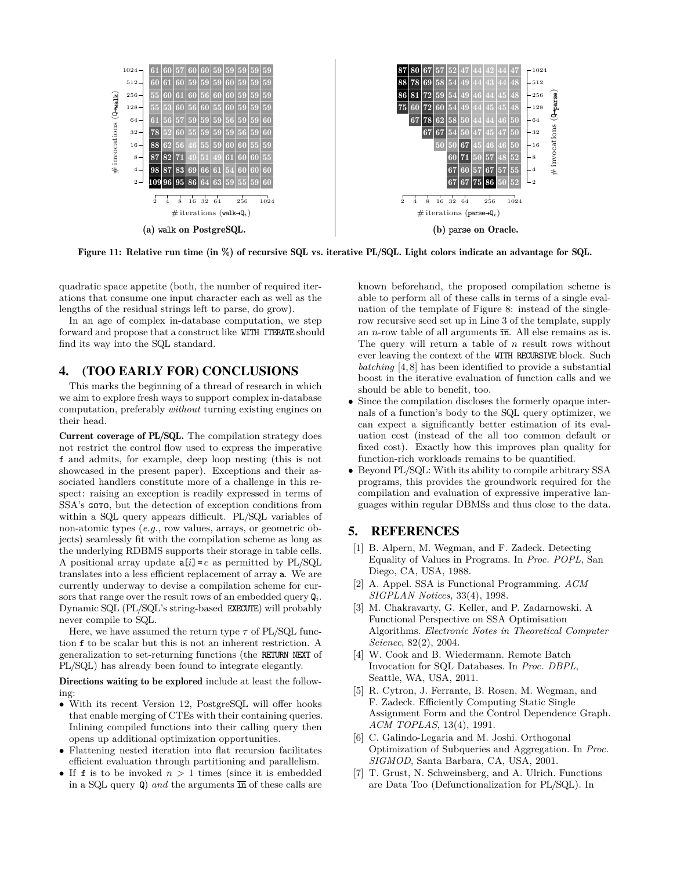

Figure 11: Relative run time (in %) of recursive SQL vs. iterative PL/SQL. Light colors indicate an advantage for SQL.

quadratic space appetite (both, the number of required iterations that consume one input character each as well as the lengths of the residual strings left to parse, do grow).

In an age of complex in-database computation, we step forward and propose that a construct like WITH ITERATE should find its way into the SQL standard.

## 4. (TOO EARLY FOR) CONCLUSIONS

This marks the beginning of a thread of research in which we aim to explore fresh ways to support complex in-database computation, preferably *without* turning existing engines on their head.

Current coverage of PL/SQL. The compilation strategy does not restrict the control flow used to express the imperative f and admits, for example, deep loop nesting (this is not showcased in the present paper). Exceptions and their associated handlers constitute more of a challenge in this respect: raising an exception is readily expressed in terms of SSA's **GOTO**, but the detection of exception conditions from within a SQL query appears difficult. PL/SQL variables of non-atomic types (*e.g.*, row values, arrays, or geometric objects) seamlessly fit with the compilation scheme as long as the underlying RDBMS supports their storage in table cells. A positional array update  $a[i] = e$  as permitted by PL/SQL translates into a less efficient replacement of array a. We are currently underway to devise a compilation scheme for cursors that range over the result rows of an embedded query  $\mathbf{Q}_i$ . Dynamic SQL (PL/SQL's string-based EXECUTE) will probably never compile to SQL.

Here, we have assumed the return type  $\tau$  of PL/SQL function f to be scalar but this is not an inherent restriction. A generalization to set-returning functions (the RETURN NEXT of PL/SQL) has already been found to integrate elegantly.

Directions waiting to be explored include at least the following:

- With its recent Version 12, PostgreSQL will offer hooks that enable merging of CTEs with their containing queries. Inlining compiled functions into their calling query then opens up additional optimization opportunities.
- Flattening nested iteration into flat recursion facilitates efficient evaluation through partitioning and parallelism.
- If **f** is to be invoked  $n > 1$  times (since it is embedded in a SQL query  $\mathbf{Q}$  *and* the arguments  $\overline{\mathbf{in}}$  of these calls are

known beforehand, the proposed compilation scheme is able to perform all of these calls in terms of a single evaluation of the template of Figure 8: instead of the singlerow recursive seed set up in Line 3 of the template, supply an *n*-row table of all arguments  $\overline{\text{in}}$ . All else remains as is. The query will return a table of *n* result rows without ever leaving the context of the WITH RECURSIVE block. Such *batching* [4, 8] has been identified to provide a substantial boost in the iterative evaluation of function calls and we should be able to benefit, too.

- Since the compilation discloses the formerly opaque internals of a function's body to the SQL query optimizer, we can expect a significantly better estimation of its evaluation cost (instead of the all too common default or fixed cost). Exactly how this improves plan quality for function-rich workloads remains to be quantified.
- Beyond PL/SQL: With its ability to compile arbitrary SSA programs, this provides the groundwork required for the compilation and evaluation of expressive imperative languages within regular DBMSs and thus close to the data.

## 5. REFERENCES

- [1] B. Alpern, M. Wegman, and F. Zadeck. Detecting Equality of Values in Programs. In *Proc. POPL*, San Diego, CA, USA, 1988.
- [2] A. Appel. SSA is Functional Programming. *ACM SIGPLAN Notices*, 33(4), 1998.
- [3] M. Chakravarty, G. Keller, and P. Zadarnowski. A Functional Perspective on SSA Optimisation Algorithms. *Electronic Notes in Theoretical Computer Science*, 82(2), 2004.
- [4] W. Cook and B. Wiedermann. Remote Batch Invocation for SQL Databases. In *Proc. DBPL*, Seattle, WA, USA, 2011.
- [5] R. Cytron, J. Ferrante, B. Rosen, M. Wegman, and F. Zadeck. Efficiently Computing Static Single Assignment Form and the Control Dependence Graph. *ACM TOPLAS*, 13(4), 1991.
- [6] C. Galindo-Legaria and M. Joshi. Orthogonal Optimization of Subqueries and Aggregation. In *Proc. SIGMOD*, Santa Barbara, CA, USA, 2001.
- [7] T. Grust, N. Schweinsberg, and A. Ulrich. Functions are Data Too (Defunctionalization for PL/SQL). In